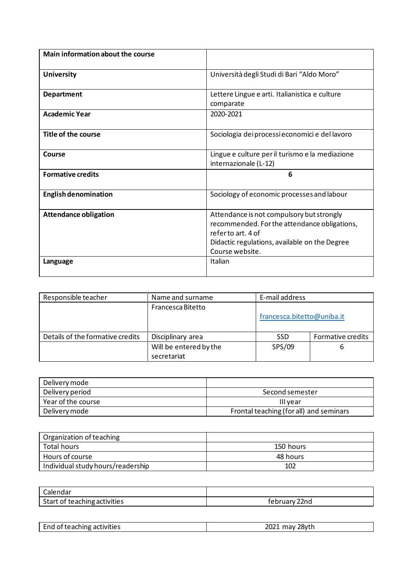| Main information about the course |                                                                                                                                                                                    |
|-----------------------------------|------------------------------------------------------------------------------------------------------------------------------------------------------------------------------------|
| <b>University</b>                 | Università degli Studi di Bari "Aldo Moro"                                                                                                                                         |
| <b>Department</b>                 | Lettere Lingue e arti. Italianistica e culture<br>comparate                                                                                                                        |
| <b>Academic Year</b>              | 2020-2021                                                                                                                                                                          |
| Title of the course               | Sociologia dei processi economici e del lavoro                                                                                                                                     |
| Course                            | Lingue e culture per il turismo e la mediazione<br>internazionale (L-12)                                                                                                           |
| <b>Formative credits</b>          | 6                                                                                                                                                                                  |
| <b>English denomination</b>       | Sociology of economic processes and labour                                                                                                                                         |
| <b>Attendance obligation</b>      | Attendance is not compulsory but strongly<br>recommended. For the attendance obligations,<br>referto art. 4 of<br>Didactic regulations, available on the Degree<br>Course website. |
| Language                          | Italian                                                                                                                                                                            |

| Responsible teacher              | Name and surname       | E-mail address             |                   |
|----------------------------------|------------------------|----------------------------|-------------------|
|                                  | Francesca Bitetto      |                            |                   |
|                                  |                        | francesca.bitetto@uniba.it |                   |
| Details of the formative credits | Disciplinary area      | <b>SSD</b>                 | Formative credits |
|                                  | Will be entered by the | SPS/09                     | 6                 |
|                                  | secretariat            |                            |                   |

| Delivery mode      |                                         |
|--------------------|-----------------------------------------|
| Delivery period    | Second semester                         |
| Year of the course | III vear                                |
| Delivery mode      | Frontal teaching (for all) and seminars |

| Organization of teaching          |           |
|-----------------------------------|-----------|
| Total hours                       | 150 hours |
| Hours of course                   | 48 hours  |
| Individual study hours/readership | 102       |

| Calendar                     |               |
|------------------------------|---------------|
| Start of teaching activities | february 22nd |

| End of teaching activities | 2021<br>may 28yth |
|----------------------------|-------------------|
|                            |                   |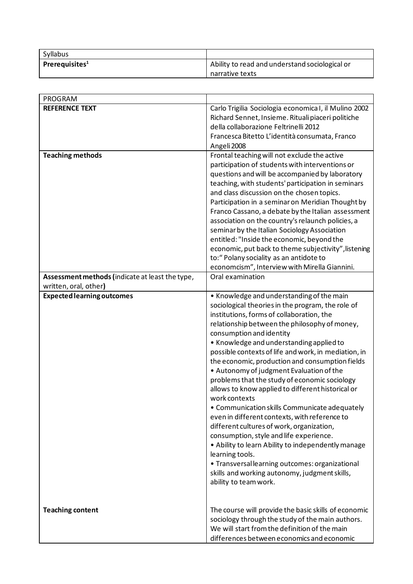| Syllabus           |                                                |
|--------------------|------------------------------------------------|
| Prerequisites $^1$ | Ability to read and understand sociological or |
|                    | narrative texts                                |

| PROGRAM                                                                  |                                                                        |
|--------------------------------------------------------------------------|------------------------------------------------------------------------|
| <b>REFERENCE TEXT</b>                                                    | Carlo Trigilia Sociologia economica I, il Mulino 2002                  |
|                                                                          | Richard Sennet, Insieme. Rituali piaceri politiche                     |
|                                                                          | della collaborazione Feltrinelli 2012                                  |
|                                                                          | Francesca Bitetto L'identità consumata, Franco                         |
|                                                                          | Angeli 2008                                                            |
| <b>Teaching methods</b>                                                  | Frontal teaching will not exclude the active                           |
|                                                                          | participation of students with interventions or                        |
|                                                                          | questions and will be accompanied by laboratory                        |
|                                                                          | teaching, with students' participation in seminars                     |
|                                                                          | and class discussion on the chosen topics.                             |
|                                                                          | Participation in a seminar on Meridian Thought by                      |
|                                                                          | Franco Cassano, a debate by the Italian assessment                     |
|                                                                          | association on the country's relaunch policies, a                      |
|                                                                          | seminar by the Italian Sociology Association                           |
|                                                                          | entitled: "Inside the economic, beyond the                             |
|                                                                          | economic, put back to theme subjectivity", listening                   |
|                                                                          | to:" Polany sociality as an antidote to                                |
|                                                                          | economcism", Interview with Mirella Giannini.<br>Oral examination      |
| Assessment methods (indicate at least the type,<br>written, oral, other) |                                                                        |
| <b>Expected learning outcomes</b>                                        | • Knowledge and understanding of the main                              |
|                                                                          | sociological theories in the program, the role of                      |
|                                                                          | institutions, forms of collaboration, the                              |
|                                                                          | relationship between the philosophy of money,                          |
|                                                                          | consumption and identity                                               |
|                                                                          | • Knowledge and understanding applied to                               |
|                                                                          | possible contexts of life and work, in mediation, in                   |
|                                                                          | the economic, production and consumption fields                        |
|                                                                          | • Autonomy of judgment Evaluation of the                               |
|                                                                          | problems that the study of economic sociology                          |
|                                                                          | allows to know applied to different historical or                      |
|                                                                          | work contexts                                                          |
|                                                                          | • Communication skills Communicate adequately                          |
|                                                                          | even in different contexts, with reference to                          |
|                                                                          | different cultures of work, organization,                              |
|                                                                          | consumption, style and life experience.                                |
|                                                                          | • Ability to learn Ability to independently manage                     |
|                                                                          | learning tools.                                                        |
|                                                                          | • Transversal learning outcomes: organizational                        |
|                                                                          | skills and working autonomy, judgment skills,<br>ability to team work. |
|                                                                          |                                                                        |
|                                                                          |                                                                        |
| <b>Teaching content</b>                                                  | The course will provide the basic skills of economic                   |
|                                                                          | sociology through the study of the main authors.                       |
|                                                                          | We will start from the definition of the main                          |
|                                                                          | differences between economics and economic                             |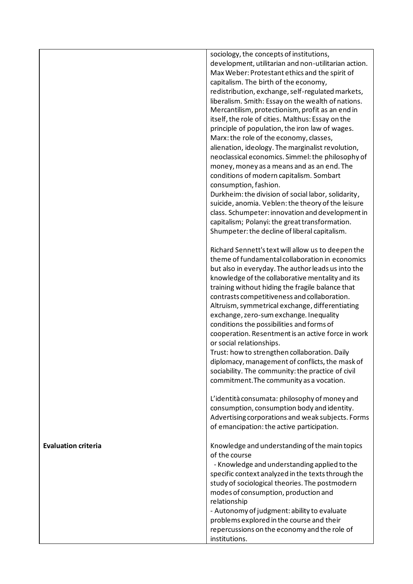|                            | sociology, the concepts of institutions,<br>development, utilitarian and non-utilitarian action.       |
|----------------------------|--------------------------------------------------------------------------------------------------------|
|                            | Max Weber: Protestant ethics and the spirit of<br>capitalism. The birth of the economy,                |
|                            | redistribution, exchange, self-regulated markets,                                                      |
|                            | liberalism. Smith: Essay on the wealth of nations.                                                     |
|                            | Mercantilism, protectionism, profit as an end in                                                       |
|                            | itself, the role of cities. Malthus: Essay on the                                                      |
|                            | principle of population, the iron law of wages.<br>Marx: the role of the economy, classes,             |
|                            | alienation, ideology. The marginalist revolution,                                                      |
|                            | neoclassical economics. Simmel: the philosophy of                                                      |
|                            | money, money as a means and as an end. The                                                             |
|                            | conditions of modern capitalism. Sombart                                                               |
|                            | consumption, fashion.                                                                                  |
|                            | Durkheim: the division of social labor, solidarity,                                                    |
|                            | suicide, anomia. Veblen: the theory of the leisure<br>class. Schumpeter: innovation and development in |
|                            | capitalism; Polanyi: the great transformation.                                                         |
|                            | Shumpeter: the decline of liberal capitalism.                                                          |
|                            | Richard Sennett's text will allow us to deepen the                                                     |
|                            | theme of fundamental collaboration in economics                                                        |
|                            | but also in everyday. The author leads us into the<br>knowledge of the collaborative mentality and its |
|                            | training without hiding the fragile balance that                                                       |
|                            | contrasts competitiveness and collaboration.                                                           |
|                            | Altruism, symmetrical exchange, differentiating                                                        |
|                            | exchange, zero-sum exchange. Inequality                                                                |
|                            | conditions the possibilities and forms of                                                              |
|                            | cooperation. Resentment is an active force in work<br>or social relationships.                         |
|                            | Trust: how to strengthen collaboration. Daily                                                          |
|                            | diplomacy, management of conflicts, the mask of                                                        |
|                            | sociability. The community: the practice of civil                                                      |
|                            | commitment. The community as a vocation.                                                               |
|                            | L'identità consumata: philosophy of money and                                                          |
|                            | consumption, consumption body and identity.                                                            |
|                            | Advertising corporations and weak subjects. Forms<br>of emancipation: the active participation.        |
|                            |                                                                                                        |
| <b>Evaluation criteria</b> | Knowledge and understanding of the main topics<br>of the course                                        |
|                            | - Knowledge and understanding applied to the                                                           |
|                            | specific context analyzed in the texts through the                                                     |
|                            | study of sociological theories. The postmodern                                                         |
|                            | modes of consumption, production and<br>relationship                                                   |
|                            | - Autonomy of judgment: ability to evaluate                                                            |
|                            | problems explored in the course and their                                                              |
|                            | repercussions on the economy and the role of                                                           |
|                            | institutions.                                                                                          |